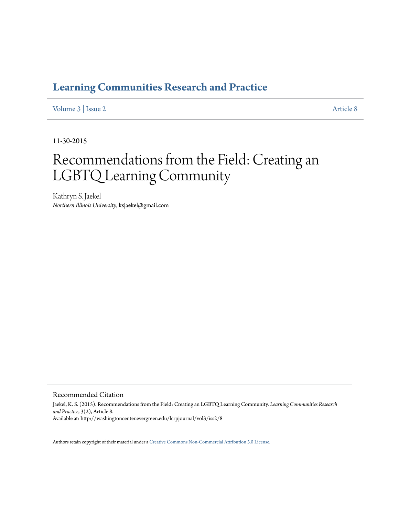### **[Learning Communities Research and Practice](http://washingtoncenter.evergreen.edu/lcrpjournal)**

[Volume 3](http://washingtoncenter.evergreen.edu/lcrpjournal/vol3) | [Issue 2](http://washingtoncenter.evergreen.edu/lcrpjournal/vol3/iss2) [Article 8](http://washingtoncenter.evergreen.edu/lcrpjournal/vol3/iss2/8)

11-30-2015

# Recommendations from the Field: Creating an LGBTQ Learning Community

Kathryn S. Jaekel *Northern Illinois University*, ksjaekel@gmail.com

Recommended Citation

Jaekel, K. S. (2015). Recommendations from the Field: Creating an LGBTQ Learning Community. *Learning Communities Research and Practice*, 3(2), Article 8. Available at: http://washingtoncenter.evergreen.edu/lcrpjournal/vol3/iss2/8

Authors retain copyright of their material under a [Creative Commons Non-Commercial Attribution 3.0 License.](http://creativecommons.org/licenses/by-nc/3.0/)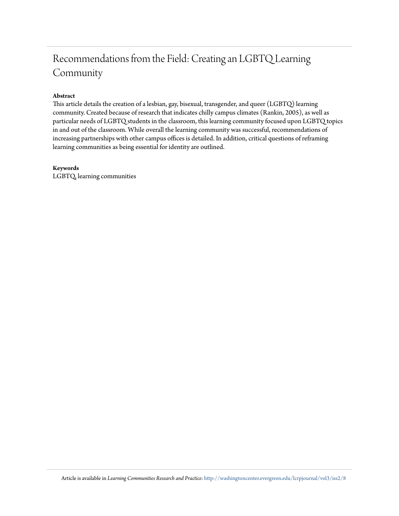## Recommendations from the Field: Creating an LGBTQ Learning Community

#### **Abstract**

This article details the creation of a lesbian, gay, bisexual, transgender, and queer (LGBTQ) learning community. Created because of research that indicates chilly campus climates (Rankin, 2005), as well as particular needs of LGBTQ students in the classroom, this learning community focused upon LGBTQ topics in and out of the classroom. While overall the learning community was successful, recommendations of increasing partnerships with other campus offices is detailed. In addition, critical questions of reframing learning communities as being essential for identity are outlined.

#### **Keywords**

LGBTQ, learning communities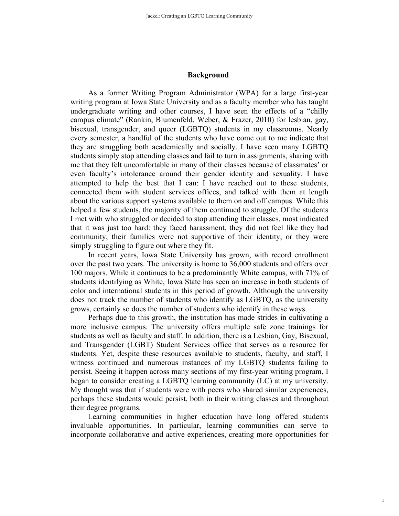#### **Background**

As a former Writing Program Administrator (WPA) for a large first-year writing program at Iowa State University and as a faculty member who has taught undergraduate writing and other courses, I have seen the effects of a "chilly campus climate" (Rankin, Blumenfeld, Weber, & Frazer, 2010) for lesbian, gay, bisexual, transgender, and queer (LGBTQ) students in my classrooms. Nearly every semester, a handful of the students who have come out to me indicate that they are struggling both academically and socially. I have seen many LGBTQ students simply stop attending classes and fail to turn in assignments, sharing with me that they felt uncomfortable in many of their classes because of classmates' or even faculty's intolerance around their gender identity and sexuality. I have attempted to help the best that I can: I have reached out to these students, connected them with student services offices, and talked with them at length about the various support systems available to them on and off campus. While this helped a few students, the majority of them continued to struggle. Of the students I met with who struggled or decided to stop attending their classes, most indicated that it was just too hard: they faced harassment, they did not feel like they had community, their families were not supportive of their identity, or they were simply struggling to figure out where they fit.

In recent years, Iowa State University has grown, with record enrollment over the past two years. The university is home to 36,000 students and offers over 100 majors. While it continues to be a predominantly White campus, with 71% of students identifying as White, Iowa State has seen an increase in both students of color and international students in this period of growth. Although the university does not track the number of students who identify as LGBTQ, as the university grows, certainly so does the number of students who identify in these ways.

Perhaps due to this growth, the institution has made strides in cultivating a more inclusive campus. The university offers multiple safe zone trainings for students as well as faculty and staff. In addition, there is a Lesbian, Gay, Bisexual, and Transgender (LGBT) Student Services office that serves as a resource for students. Yet, despite these resources available to students, faculty, and staff, I witness continued and numerous instances of my LGBTQ students failing to persist. Seeing it happen across many sections of my first-year writing program, I began to consider creating a LGBTQ learning community (LC) at my university. My thought was that if students were with peers who shared similar experiences, perhaps these students would persist, both in their writing classes and throughout their degree programs.

Learning communities in higher education have long offered students invaluable opportunities. In particular, learning communities can serve to incorporate collaborative and active experiences, creating more opportunities for

1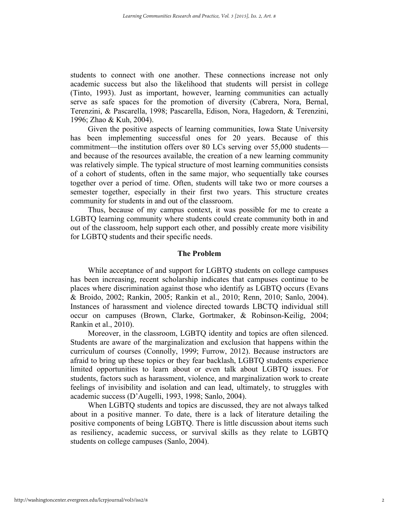students to connect with one another. These connections increase not only academic success but also the likelihood that students will persist in college (Tinto, 1993). Just as important, however, learning communities can actually serve as safe spaces for the promotion of diversity (Cabrera, Nora, Bernal, Terenzini, & Pascarella, 1998; Pascarella, Edison, Nora, Hagedorn, & Terenzini, 1996; Zhao & Kuh, 2004).

Given the positive aspects of learning communities, Iowa State University has been implementing successful ones for 20 years. Because of this commitment—the institution offers over 80 LCs serving over 55,000 students and because of the resources available, the creation of a new learning community was relatively simple. The typical structure of most learning communities consists of a cohort of students, often in the same major, who sequentially take courses together over a period of time. Often, students will take two or more courses a semester together, especially in their first two years. This structure creates community for students in and out of the classroom.

Thus, because of my campus context, it was possible for me to create a LGBTQ learning community where students could create community both in and out of the classroom, help support each other, and possibly create more visibility for LGBTQ students and their specific needs.

#### **The Problem**

While acceptance of and support for LGBTQ students on college campuses has been increasing, recent scholarship indicates that campuses continue to be places where discrimination against those who identify as LGBTQ occurs (Evans & Broido, 2002; Rankin, 2005; Rankin et al., 2010; Renn, 2010; Sanlo, 2004). Instances of harassment and violence directed towards LBCTQ individual still occur on campuses (Brown, Clarke, Gortmaker, & Robinson-Keilig, 2004; Rankin et al., 2010).

Moreover, in the classroom, LGBTQ identity and topics are often silenced. Students are aware of the marginalization and exclusion that happens within the curriculum of courses (Connolly, 1999; Furrow, 2012). Because instructors are afraid to bring up these topics or they fear backlash, LGBTQ students experience limited opportunities to learn about or even talk about LGBTQ issues. For students, factors such as harassment, violence, and marginalization work to create feelings of invisibility and isolation and can lead, ultimately, to struggles with academic success (D'Augelli, 1993, 1998; Sanlo, 2004).

When LGBTQ students and topics are discussed, they are not always talked about in a positive manner. To date, there is a lack of literature detailing the positive components of being LGBTQ. There is little discussion about items such as resiliency, academic success, or survival skills as they relate to LGBTQ students on college campuses (Sanlo, 2004).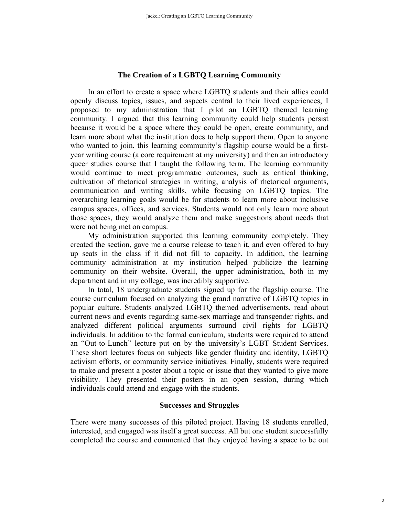#### **The Creation of a LGBTQ Learning Community**

In an effort to create a space where LGBTQ students and their allies could openly discuss topics, issues, and aspects central to their lived experiences, I proposed to my administration that I pilot an LGBTQ themed learning community. I argued that this learning community could help students persist because it would be a space where they could be open, create community, and learn more about what the institution does to help support them. Open to anyone who wanted to join, this learning community's flagship course would be a firstyear writing course (a core requirement at my university) and then an introductory queer studies course that I taught the following term. The learning community would continue to meet programmatic outcomes, such as critical thinking, cultivation of rhetorical strategies in writing, analysis of rhetorical arguments, communication and writing skills, while focusing on LGBTQ topics. The overarching learning goals would be for students to learn more about inclusive campus spaces, offices, and services. Students would not only learn more about those spaces, they would analyze them and make suggestions about needs that were not being met on campus.

My administration supported this learning community completely. They created the section, gave me a course release to teach it, and even offered to buy up seats in the class if it did not fill to capacity. In addition, the learning community administration at my institution helped publicize the learning community on their website. Overall, the upper administration, both in my department and in my college, was incredibly supportive.

In total, 18 undergraduate students signed up for the flagship course. The course curriculum focused on analyzing the grand narrative of LGBTQ topics in popular culture. Students analyzed LGBTQ themed advertisements, read about current news and events regarding same-sex marriage and transgender rights, and analyzed different political arguments surround civil rights for LGBTQ individuals. In addition to the formal curriculum, students were required to attend an "Out-to-Lunch" lecture put on by the university's LGBT Student Services. These short lectures focus on subjects like gender fluidity and identity, LGBTQ activism efforts, or community service initiatives. Finally, students were required to make and present a poster about a topic or issue that they wanted to give more visibility. They presented their posters in an open session, during which individuals could attend and engage with the students.

#### **Successes and Struggles**

There were many successes of this piloted project. Having 18 students enrolled, interested, and engaged was itself a great success. All but one student successfully completed the course and commented that they enjoyed having a space to be out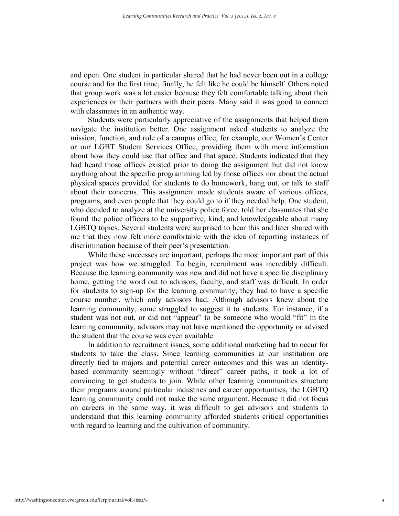and open. One student in particular shared that he had never been out in a college course and for the first time, finally, he felt like he could be himself. Others noted that group work was a lot easier because they felt comfortable talking about their experiences or their partners with their peers. Many said it was good to connect with classmates in an authentic way.

Students were particularly appreciative of the assignments that helped them navigate the institution better. One assignment asked students to analyze the mission, function, and role of a campus office, for example, our Women's Center or our LGBT Student Services Office, providing them with more information about how they could use that office and that space. Students indicated that they had heard those offices existed prior to doing the assignment but did not know anything about the specific programming led by those offices nor about the actual physical spaces provided for students to do homework, hang out, or talk to staff about their concerns. This assignment made students aware of various offices, programs, and even people that they could go to if they needed help. One student, who decided to analyze at the university police force, told her classmates that she found the police officers to be supportive, kind, and knowledgeable about many LGBTQ topics. Several students were surprised to hear this and later shared with me that they now felt more comfortable with the idea of reporting instances of discrimination because of their peer's presentation.

While these successes are important, perhaps the most important part of this project was how we struggled. To begin, recruitment was incredibly difficult. Because the learning community was new and did not have a specific disciplinary home, getting the word out to advisors, faculty, and staff was difficult. In order for students to sign-up for the learning community, they had to have a specific course number, which only advisors had. Although advisors knew about the learning community, some struggled to suggest it to students. For instance, if a student was not out, or did not "appear" to be someone who would "fit" in the learning community, advisors may not have mentioned the opportunity or advised the student that the course was even available.

In addition to recruitment issues, some additional marketing had to occur for students to take the class. Since learning communities at our institution are directly tied to majors and potential career outcomes and this was an identitybased community seemingly without "direct" career paths, it took a lot of convincing to get students to join. While other learning communities structure their programs around particular industries and career opportunities, the LGBTQ learning community could not make the same argument. Because it did not focus on careers in the same way, it was difficult to get advisors and students to understand that this learning community afforded students critical opportunities with regard to learning and the cultivation of community.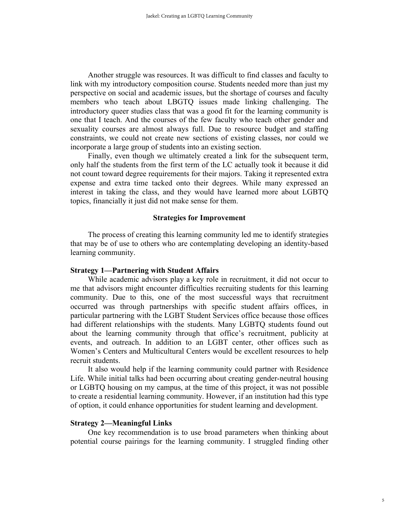Another struggle was resources. It was difficult to find classes and faculty to link with my introductory composition course. Students needed more than just my perspective on social and academic issues, but the shortage of courses and faculty members who teach about LBGTQ issues made linking challenging. The introductory queer studies class that was a good fit for the learning community is one that I teach. And the courses of the few faculty who teach other gender and sexuality courses are almost always full. Due to resource budget and staffing constraints, we could not create new sections of existing classes, nor could we incorporate a large group of students into an existing section.

Finally, even though we ultimately created a link for the subsequent term, only half the students from the first term of the LC actually took it because it did not count toward degree requirements for their majors. Taking it represented extra expense and extra time tacked onto their degrees. While many expressed an interest in taking the class, and they would have learned more about LGBTQ topics, financially it just did not make sense for them.

#### **Strategies for Improvement**

The process of creating this learning community led me to identify strategies that may be of use to others who are contemplating developing an identity-based learning community.

#### **Strategy 1—Partnering with Student Affairs**

While academic advisors play a key role in recruitment, it did not occur to me that advisors might encounter difficulties recruiting students for this learning community. Due to this, one of the most successful ways that recruitment occurred was through partnerships with specific student affairs offices, in particular partnering with the LGBT Student Services office because those offices had different relationships with the students. Many LGBTQ students found out about the learning community through that office's recruitment, publicity at events, and outreach. In addition to an LGBT center, other offices such as Women's Centers and Multicultural Centers would be excellent resources to help recruit students.

It also would help if the learning community could partner with Residence Life. While initial talks had been occurring about creating gender-neutral housing or LGBTQ housing on my campus, at the time of this project, it was not possible to create a residential learning community. However, if an institution had this type of option, it could enhance opportunities for student learning and development.

#### **Strategy 2—Meaningful Links**

One key recommendation is to use broad parameters when thinking about potential course pairings for the learning community. I struggled finding other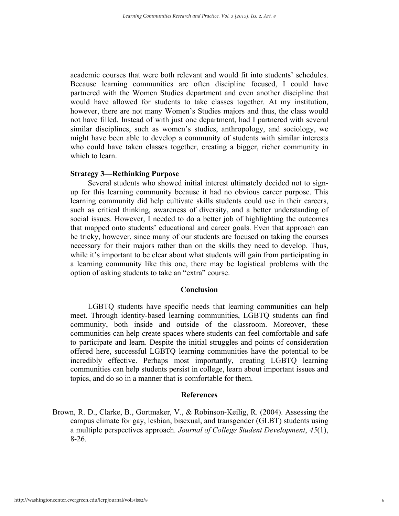academic courses that were both relevant and would fit into students' schedules. Because learning communities are often discipline focused, I could have partnered with the Women Studies department and even another discipline that would have allowed for students to take classes together. At my institution, however, there are not many Women's Studies majors and thus, the class would not have filled. Instead of with just one department, had I partnered with several similar disciplines, such as women's studies, anthropology, and sociology, we might have been able to develop a community of students with similar interests who could have taken classes together, creating a bigger, richer community in which to learn.

#### **Strategy 3—Rethinking Purpose**

Several students who showed initial interest ultimately decided not to signup for this learning community because it had no obvious career purpose. This learning community did help cultivate skills students could use in their careers, such as critical thinking, awareness of diversity, and a better understanding of social issues. However, I needed to do a better job of highlighting the outcomes that mapped onto students' educational and career goals. Even that approach can be tricky, however, since many of our students are focused on taking the courses necessary for their majors rather than on the skills they need to develop. Thus, while it's important to be clear about what students will gain from participating in a learning community like this one, there may be logistical problems with the option of asking students to take an "extra" course.

#### **Conclusion**

LGBTQ students have specific needs that learning communities can help meet. Through identity-based learning communities, LGBTQ students can find community, both inside and outside of the classroom. Moreover, these communities can help create spaces where students can feel comfortable and safe to participate and learn. Despite the initial struggles and points of consideration offered here, successful LGBTQ learning communities have the potential to be incredibly effective. Perhaps most importantly, creating LGBTQ learning communities can help students persist in college, learn about important issues and topics, and do so in a manner that is comfortable for them.

#### **References**

Brown, R. D., Clarke, B., Gortmaker, V., & Robinson-Keilig, R. (2004). Assessing the campus climate for gay, lesbian, bisexual, and transgender (GLBT) students using a multiple perspectives approach. *Journal of College Student Development*, *45*(1), 8-26.